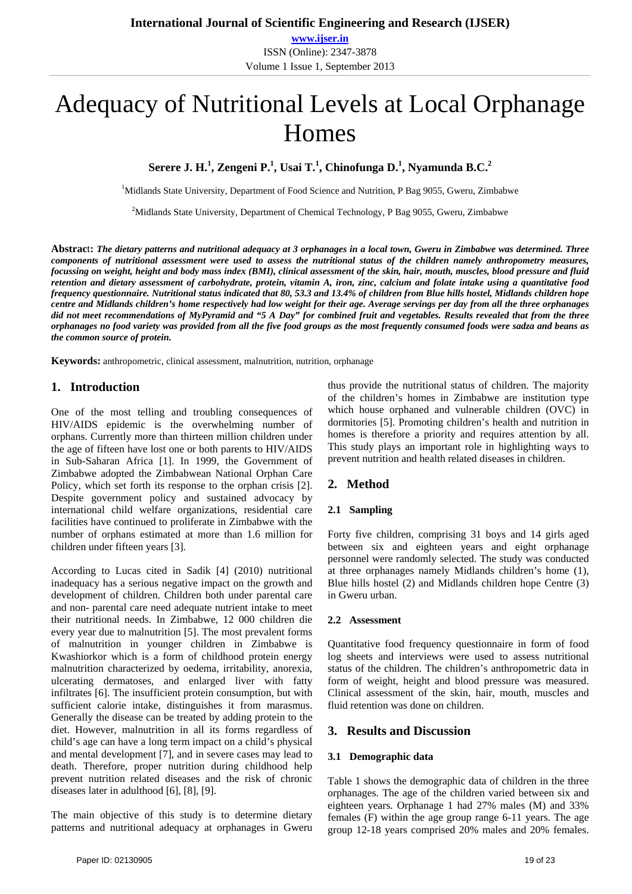# Adequacy of Nutritional Levels at Local Orphanage Homes

**Serere J. H.<sup>1</sup> , Zengeni P.1 , Usai T.<sup>1</sup> , Chinofunga D.1 , Nyamunda B.C.<sup>2</sup>**

<sup>1</sup>Midlands State University, Department of Food Science and Nutrition, P Bag 9055, Gweru, Zimbabwe

<sup>2</sup>Midlands State University, Department of Chemical Technology, P Bag 9055, Gweru, Zimbabwe

**Abstrac**t**:** *The dietary patterns and nutritional adequacy at 3 orphanages in a local town, Gweru in Zimbabwe was determined. Three components of nutritional assessment were used to assess the nutritional status of the children namely anthropometry measures, focussing on weight, height and body mass index (BMI), clinical assessment of the skin, hair, mouth, muscles, blood pressure and fluid retention and dietary assessment of carbohydrate, protein, vitamin A, iron, zinc, calcium and folate intake using a quantitative food frequency questionnaire. Nutritional status indicated that 80, 53.3 and 13.4% of children from Blue hills hostel, Midlands children hope centre and Midlands children's home respectively had low weight for their age. Average servings per day from all the three orphanages did not meet recommendations of MyPyramid and "5 A Day" for combined fruit and vegetables. Results revealed that from the three orphanages no food variety was provided from all the five food groups as the most frequently consumed foods were sadza and beans as the common source of protein.* 

**Keywords:** anthropometric, clinical assessment, malnutrition, nutrition, orphanage

# **1. Introduction**

One of the most telling and troubling consequences of HIV/AIDS epidemic is the overwhelming number of orphans. Currently more than thirteen million children under the age of fifteen have lost one or both parents to HIV/AIDS in Sub-Saharan Africa [1]. In 1999, the Government of Zimbabwe adopted the Zimbabwean National Orphan Care Policy, which set forth its response to the orphan crisis [2]. Despite government policy and sustained advocacy by international child welfare organizations, residential care facilities have continued to proliferate in Zimbabwe with the number of orphans estimated at more than 1.6 million for children under fifteen years [3].

According to Lucas cited in Sadik [4] (2010) nutritional inadequacy has a serious negative impact on the growth and development of children. Children both under parental care and non- parental care need adequate nutrient intake to meet their nutritional needs. In Zimbabwe, 12 000 children die every year due to malnutrition [5]. The most prevalent forms of malnutrition in younger children in Zimbabwe is Kwashiorkor which is a form of childhood protein energy malnutrition characterized by oedema, irritability, anorexia, ulcerating dermatoses, and enlarged liver with fatty infiltrates [6]. The insufficient protein consumption, but with sufficient calorie intake, distinguishes it from marasmus. Generally the disease can be treated by adding protein to the diet. However, malnutrition in all its forms regardless of child's age can have a long term impact on a child's physical and mental development [7], and in severe cases may lead to death. Therefore, proper nutrition during childhood help prevent nutrition related diseases and the risk of chronic diseases later in adulthood [6], [8], [9].

The main objective of this study is to determine dietary patterns and nutritional adequacy at orphanages in Gweru

thus provide the nutritional status of children. The majority of the children's homes in Zimbabwe are institution type which house orphaned and vulnerable children (OVC) in dormitories [5]. Promoting children's health and nutrition in homes is therefore a priority and requires attention by all. This study plays an important role in highlighting ways to prevent nutrition and health related diseases in children.

# **2. Method**

## **2.1 Sampling**

Forty five children, comprising 31 boys and 14 girls aged between six and eighteen years and eight orphanage personnel were randomly selected. The study was conducted at three orphanages namely Midlands children's home (1), Blue hills hostel (2) and Midlands children hope Centre (3) in Gweru urban.

#### **2.2 Assessment**

Quantitative food frequency questionnaire in form of food log sheets and interviews were used to assess nutritional status of the children. The children's anthropometric data in form of weight, height and blood pressure was measured. Clinical assessment of the skin, hair, mouth, muscles and fluid retention was done on children.

## **3. Results and Discussion**

#### **3.1 Demographic data**

Table 1 shows the demographic data of children in the three orphanages. The age of the children varied between six and eighteen years. Orphanage 1 had 27% males (M) and 33% females (F) within the age group range 6-11 years. The age group 12-18 years comprised 20% males and 20% females.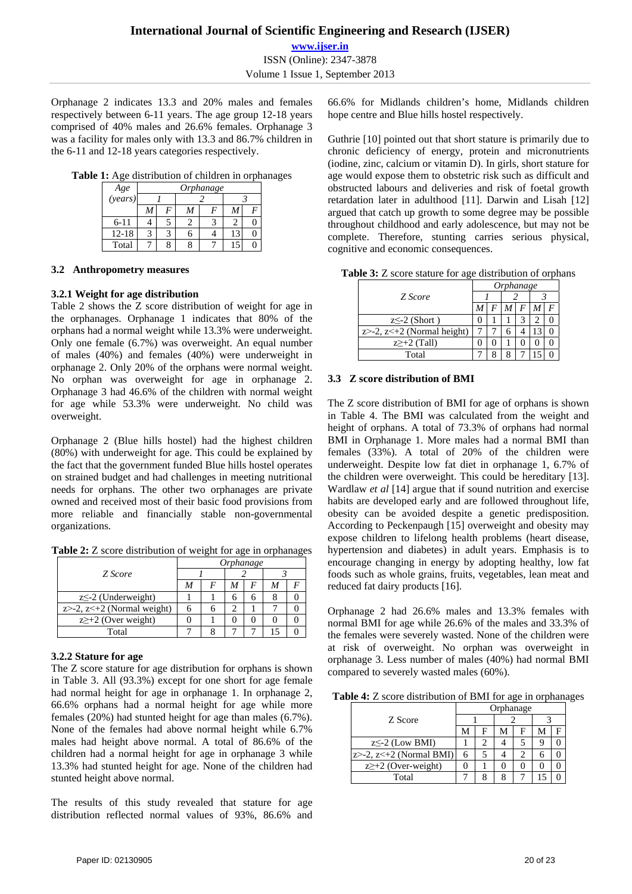**www.ijser.in** ISSN (Online): 2347-3878 Volume 1 Issue 1, September 2013

Orphanage 2 indicates 13.3 and 20% males and females respectively between 6-11 years. The age group 12-18 years comprised of 40% males and 26.6% females. Orphanage 3 was a facility for males only with 13.3 and 86.7% children in the 6-11 and 12-18 years categories respectively.

**Table 1:** Age distribution of children in orphanages

| Age       | Orphanage |  |  |  |  |  |  |  |
|-----------|-----------|--|--|--|--|--|--|--|
| (years)   |           |  |  |  |  |  |  |  |
|           |           |  |  |  |  |  |  |  |
| $6 - 11$  |           |  |  |  |  |  |  |  |
| $12 - 18$ |           |  |  |  |  |  |  |  |
| Total     |           |  |  |  |  |  |  |  |

## **3.2 Anthropometry measures**

## **3.2.1 Weight for age distribution**

Table 2 shows the Z score distribution of weight for age in the orphanages. Orphanage 1 indicates that 80% of the orphans had a normal weight while 13.3% were underweight. Only one female (6.7%) was overweight. An equal number of males (40%) and females (40%) were underweight in orphanage 2. Only 20% of the orphans were normal weight. No orphan was overweight for age in orphanage 2. Orphanage 3 had 46.6% of the children with normal weight for age while 53.3% were underweight. No child was overweight.

Orphanage 2 (Blue hills hostel) had the highest children (80%) with underweight for age. This could be explained by the fact that the government funded Blue hills hostel operates on strained budget and had challenges in meeting nutritional needs for orphans. The other two orphanages are private owned and received most of their basic food provisions from more reliable and financially stable non-governmental organizations.

**Table 2:** Z score distribution of weight for age in orphanages

|                                     | Orphanage |  |  |  |  |   |  |
|-------------------------------------|-----------|--|--|--|--|---|--|
| Z Score                             |           |  |  |  |  |   |  |
|                                     | M         |  |  |  |  | C |  |
| $z \leq -2$ (Underweight)           |           |  |  |  |  |   |  |
| $z > -2$ , $z < +2$ (Normal weight) |           |  |  |  |  |   |  |
| $z \geq +2$ (Over weight)           |           |  |  |  |  |   |  |
| Total                               |           |  |  |  |  |   |  |

## **3.2.2 Stature for age**

The Z score stature for age distribution for orphans is shown in Table 3. All (93.3%) except for one short for age female had normal height for age in orphanage 1. In orphanage 2, 66.6% orphans had a normal height for age while more females (20%) had stunted height for age than males (6.7%). None of the females had above normal height while 6.7% males had height above normal. A total of 86.6% of the children had a normal height for age in orphanage 3 while 13.3% had stunted height for age. None of the children had stunted height above normal.

The results of this study revealed that stature for age distribution reflected normal values of 93%, 86.6% and 66.6% for Midlands children's home, Midlands children hope centre and Blue hills hostel respectively.

Guthrie [10] pointed out that short stature is primarily due to chronic deficiency of energy, protein and micronutrients (iodine, zinc, calcium or vitamin D). In girls, short stature for age would expose them to obstetric risk such as difficult and obstructed labours and deliveries and risk of foetal growth retardation later in adulthood [11]. Darwin and Lisah [12] argued that catch up growth to some degree may be possible throughout childhood and early adolescence, but may not be complete. Therefore, stunting carries serious physical, cognitive and economic consequences.

**Table 3:** Z score stature for age distribution of orphans

|                                     | Orphanage |   |   |   |  |  |  |
|-------------------------------------|-----------|---|---|---|--|--|--|
| Z Score                             |           |   |   |   |  |  |  |
|                                     |           | F |   | F |  |  |  |
| $z \leq -2$ (Short)                 |           |   |   |   |  |  |  |
| $z > -2$ , $z < +2$ (Normal height) |           |   | n |   |  |  |  |
| $z \geq +2$ (Tall)                  |           |   |   |   |  |  |  |
| Total                               |           |   |   |   |  |  |  |

#### **3.3 Z score distribution of BMI**

The Z score distribution of BMI for age of orphans is shown in Table 4. The BMI was calculated from the weight and height of orphans. A total of 73.3% of orphans had normal BMI in Orphanage 1. More males had a normal BMI than females (33%). A total of 20% of the children were underweight. Despite low fat diet in orphanage 1, 6.7% of the children were overweight. This could be hereditary [13]. Wardlaw *et al* [14] argue that if sound nutrition and exercise habits are developed early and are followed throughout life, obesity can be avoided despite a genetic predisposition. According to Peckenpaugh [15] overweight and obesity may expose children to lifelong health problems (heart disease, hypertension and diabetes) in adult years. Emphasis is to encourage changing in energy by adopting healthy, low fat foods such as whole grains, fruits, vegetables, lean meat and reduced fat dairy products [16].

Orphanage 2 had 26.6% males and 13.3% females with normal BMI for age while 26.6% of the males and 33.3% of the females were severely wasted. None of the children were at risk of overweight. No orphan was overweight in orphanage 3. Less number of males (40%) had normal BMI compared to severely wasted males (60%).

**Table 4:** Z score distribution of BMI for age in orphanages

|                                  | Orphanage |   |   |   |   |  |  |
|----------------------------------|-----------|---|---|---|---|--|--|
| Z Score                          |           |   |   |   |   |  |  |
|                                  | М         | F | M | F | М |  |  |
| $z \leq -2$ (Low BMI)            |           |   |   |   |   |  |  |
| $z > -2$ , $z < +2$ (Normal BMI) | 6         |   |   |   | h |  |  |
| $z \geq +2$ (Over-weight)        |           |   |   |   |   |  |  |
| Total                            |           |   |   |   |   |  |  |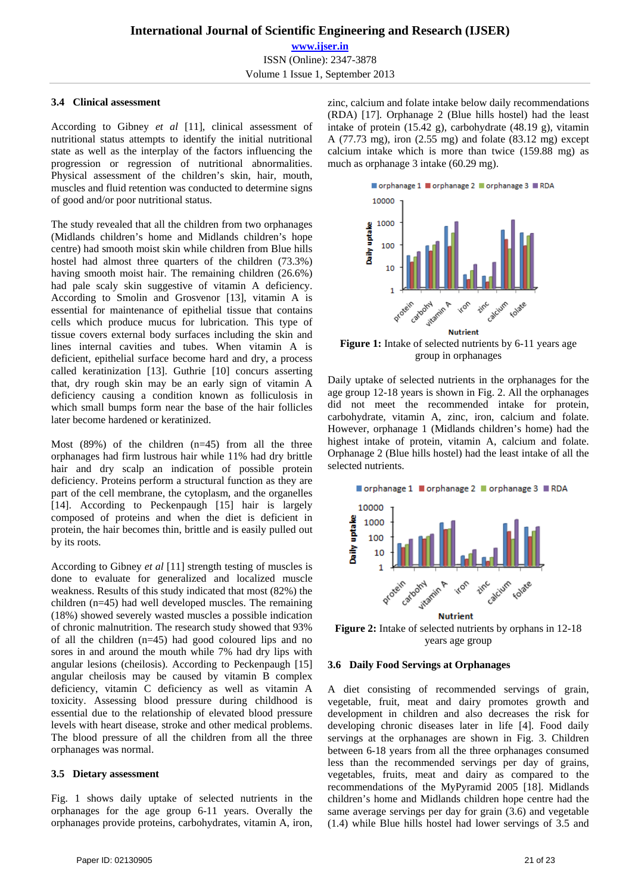# **3.4 Clinical assessment**

According to Gibney *et al* [11], clinical assessment of nutritional status attempts to identify the initial nutritional state as well as the interplay of the factors influencing the progression or regression of nutritional abnormalities. Physical assessment of the children's skin, hair, mouth, muscles and fluid retention was conducted to determine signs of good and/or poor nutritional status.

The study revealed that all the children from two orphanages (Midlands children's home and Midlands children's hope centre) had smooth moist skin while children from Blue hills hostel had almost three quarters of the children (73.3%) having smooth moist hair. The remaining children (26.6%) had pale scaly skin suggestive of vitamin A deficiency. According to Smolin and Grosvenor [13], vitamin A is essential for maintenance of epithelial tissue that contains cells which produce mucus for lubrication. This type of tissue covers external body surfaces including the skin and lines internal cavities and tubes. When vitamin A is deficient, epithelial surface become hard and dry, a process called keratinization [13]. Guthrie [10] concurs asserting that, dry rough skin may be an early sign of vitamin A deficiency causing a condition known as folliculosis in which small bumps form near the base of the hair follicles later become hardened or keratinized.

Most  $(89%)$  of the children  $(n=45)$  from all the three orphanages had firm lustrous hair while 11% had dry brittle hair and dry scalp an indication of possible protein deficiency. Proteins perform a structural function as they are part of the cell membrane, the cytoplasm, and the organelles [14]. According to Peckenpaugh [15] hair is largely composed of proteins and when the diet is deficient in protein, the hair becomes thin, brittle and is easily pulled out by its roots.

According to Gibney *et al* [11] strength testing of muscles is done to evaluate for generalized and localized muscle weakness. Results of this study indicated that most (82%) the children (n=45) had well developed muscles. The remaining (18%) showed severely wasted muscles a possible indication of chronic malnutrition. The research study showed that 93% of all the children (n=45) had good coloured lips and no sores in and around the mouth while 7% had dry lips with angular lesions (cheilosis). According to Peckenpaugh [15] angular cheilosis may be caused by vitamin B complex deficiency, vitamin C deficiency as well as vitamin A toxicity. Assessing blood pressure during childhood is essential due to the relationship of elevated blood pressure levels with heart disease, stroke and other medical problems. The blood pressure of all the children from all the three orphanages was normal.

#### **3.5 Dietary assessment**

Fig. 1 shows daily uptake of selected nutrients in the orphanages for the age group 6-11 years. Overally the orphanages provide proteins, carbohydrates, vitamin A, iron, zinc, calcium and folate intake below daily recommendations (RDA) [17]. Orphanage 2 (Blue hills hostel) had the least intake of protein (15.42 g), carbohydrate (48.19 g), vitamin A (77.73 mg), iron (2.55 mg) and folate (83.12 mg) except calcium intake which is more than twice (159.88 mg) as much as orphanage 3 intake (60.29 mg).



**Figure 1:** Intake of selected nutrients by 6-11 years age group in orphanages

Daily uptake of selected nutrients in the orphanages for the age group 12-18 years is shown in Fig. 2. All the orphanages did not meet the recommended intake for protein, carbohydrate, vitamin A, zinc, iron, calcium and folate. However, orphanage 1 (Midlands children's home) had the highest intake of protein, vitamin A, calcium and folate. Orphanage 2 (Blue hills hostel) had the least intake of all the selected nutrients.



**Figure 2:** Intake of selected nutrients by orphans in 12-18 years age group

#### **3.6 Daily Food Servings at Orphanages**

A diet consisting of recommended servings of grain, vegetable, fruit, meat and dairy promotes growth and development in children and also decreases the risk for developing chronic diseases later in life [4]. Food daily servings at the orphanages are shown in Fig. 3. Children between 6-18 years from all the three orphanages consumed less than the recommended servings per day of grains, vegetables, fruits, meat and dairy as compared to the recommendations of the MyPyramid 2005 [18]. Midlands children's home and Midlands children hope centre had the same average servings per day for grain (3.6) and vegetable (1.4) while Blue hills hostel had lower servings of 3.5 and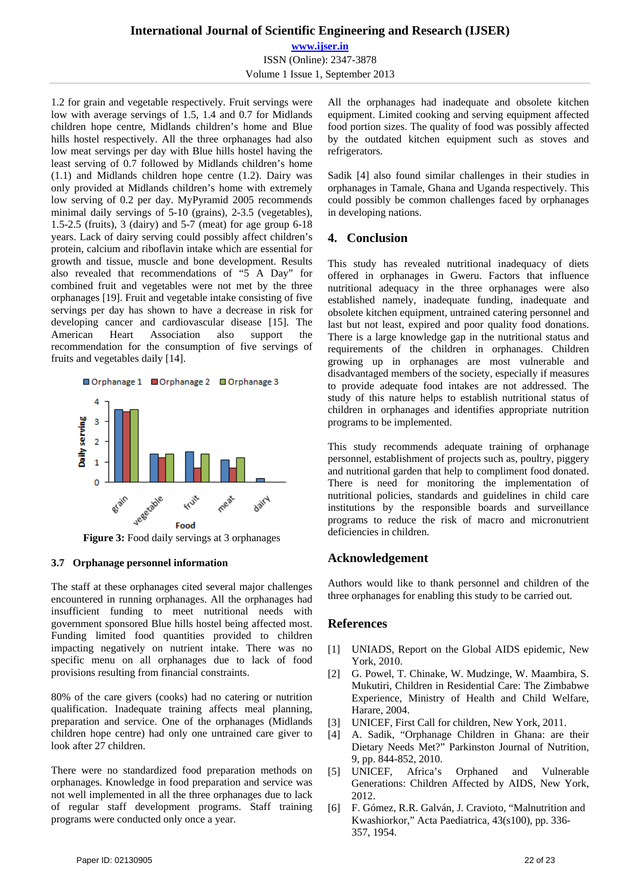**www.ijser.in** ISSN (Online): 2347-3878 Volume 1 Issue 1, September 2013

1.2 for grain and vegetable respectively. Fruit servings were low with average servings of 1.5, 1.4 and 0.7 for Midlands children hope centre, Midlands children's home and Blue hills hostel respectively. All the three orphanages had also low meat servings per day with Blue hills hostel having the least serving of 0.7 followed by Midlands children's home (1.1) and Midlands children hope centre (1.2). Dairy was only provided at Midlands children's home with extremely low serving of 0.2 per day. MyPyramid 2005 recommends minimal daily servings of 5-10 (grains), 2-3.5 (vegetables), 1.5-2.5 (fruits), 3 (dairy) and 5-7 (meat) for age group 6-18 years. Lack of dairy serving could possibly affect children's protein, calcium and riboflavin intake which are essential for growth and tissue, muscle and bone development. Results also revealed that recommendations of "5 A Day" for combined fruit and vegetables were not met by the three orphanages [19]. Fruit and vegetable intake consisting of five servings per day has shown to have a decrease in risk for developing cancer and cardiovascular disease [15]. The American Heart Association also support the recommendation for the consumption of five servings of fruits and vegetables daily [14].



**Figure 3:** Food daily servings at 3 orphanages

## **3.7 Orphanage personnel information**

The staff at these orphanages cited several major challenges encountered in running orphanages. All the orphanages had insufficient funding to meet nutritional needs with government sponsored Blue hills hostel being affected most. Funding limited food quantities provided to children impacting negatively on nutrient intake. There was no specific menu on all orphanages due to lack of food provisions resulting from financial constraints.

80% of the care givers (cooks) had no catering or nutrition qualification. Inadequate training affects meal planning, preparation and service. One of the orphanages (Midlands children hope centre) had only one untrained care giver to look after 27 children.

There were no standardized food preparation methods on orphanages. Knowledge in food preparation and service was not well implemented in all the three orphanages due to lack of regular staff development programs. Staff training programs were conducted only once a year.

All the orphanages had inadequate and obsolete kitchen equipment. Limited cooking and serving equipment affected food portion sizes. The quality of food was possibly affected by the outdated kitchen equipment such as stoves and refrigerators.

Sadik [4] also found similar challenges in their studies in orphanages in Tamale, Ghana and Uganda respectively. This could possibly be common challenges faced by orphanages in developing nations.

# **4. Conclusion**

This study has revealed nutritional inadequacy of diets offered in orphanages in Gweru. Factors that influence nutritional adequacy in the three orphanages were also established namely, inadequate funding, inadequate and obsolete kitchen equipment, untrained catering personnel and last but not least, expired and poor quality food donations. There is a large knowledge gap in the nutritional status and requirements of the children in orphanages. Children growing up in orphanages are most vulnerable and disadvantaged members of the society, especially if measures to provide adequate food intakes are not addressed. The study of this nature helps to establish nutritional status of children in orphanages and identifies appropriate nutrition programs to be implemented.

This study recommends adequate training of orphanage personnel, establishment of projects such as, poultry, piggery and nutritional garden that help to compliment food donated. There is need for monitoring the implementation of nutritional policies, standards and guidelines in child care institutions by the responsible boards and surveillance programs to reduce the risk of macro and micronutrient deficiencies in children.

# **Acknowledgement**

Authors would like to thank personnel and children of the three orphanages for enabling this study to be carried out.

# **References**

- [1] UNIADS, Report on the Global AIDS epidemic, New York, 2010.
- [2] G. Powel, T. Chinake, W. Mudzinge, W. Maambira, S. Mukutiri, Children in Residential Care: The Zimbabwe Experience, Ministry of Health and Child Welfare, Harare, 2004.
- [3] UNICEF, First Call for children, New York, 2011.
- [4] A. Sadik, "Orphanage Children in Ghana: are their Dietary Needs Met?" Parkinston Journal of Nutrition, 9, pp. 844-852, 2010.
- [5] UNICEF, Africa's Orphaned and Vulnerable Generations: Children Affected by AIDS, New York, 2012.
- [6] F. Gómez, R.R. Galván, J. Cravioto, "Malnutrition and Kwashiorkor," Acta Paediatrica, 43(s100), pp. 336- 357, 1954.